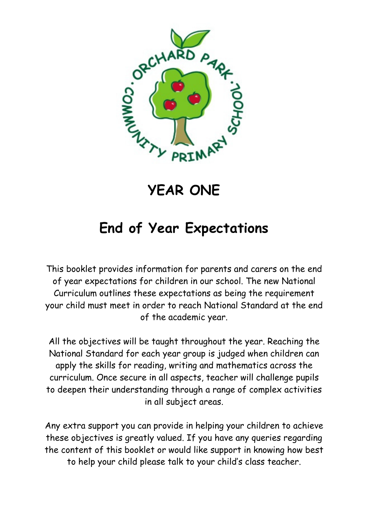

# YEAR ONE

## End of Year Expectations

This booklet provides information for parents and carers on the end of year expectations for children in our school. The new National Curriculum outlines these expectations as being the requirement your child must meet in order to reach National Standard at the end of the academic year.

All the objectives will be taught throughout the year. Reaching the National Standard for each year group is judged when children can apply the skills for reading, writing and mathematics across the curriculum. Once secure in all aspects, teacher will challenge pupils to deepen their understanding through a range of complex activities in all subject areas.

Any extra support you can provide in helping your children to achieve these objectives is greatly valued. If you have any queries regarding the content of this booklet or would like support in knowing how best to help your child please talk to your child's class teacher.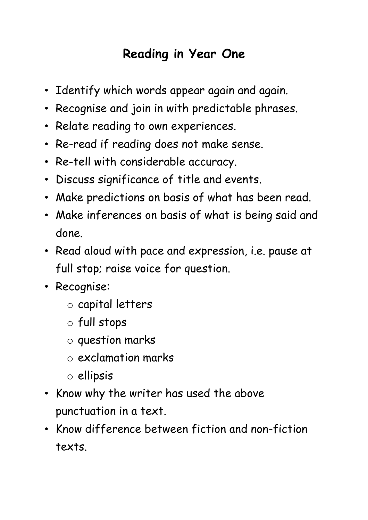## Reading in Year One

- Identify which words appear again and again.
- Recognise and join in with predictable phrases.
- Relate reading to own experiences.
- Re-read if reading does not make sense.
- Re-tell with considerable accuracy.
- Discuss significance of title and events.
- Make predictions on basis of what has been read.
- Make inferences on basis of what is being said and done.
- Read aloud with pace and expression, i.e. pause at full stop; raise voice for question.
- Recognise:
	- o capital letters
	- o full stops
	- o question marks
	- o exclamation marks
	- o ellipsis
- Know why the writer has used the above punctuation in a text.
- Know difference between fiction and non-fiction texts.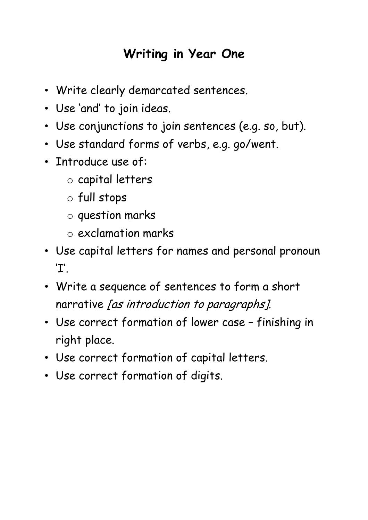### Writing in Year One

- Write clearly demarcated sentences.
- Use 'and' to join ideas.
- Use conjunctions to join sentences (e.g. so, but).
- Use standard forms of verbs, e.g. go/went.
- Introduce use of:
	- o capital letters
	- o full stops
	- o question marks
	- o exclamation marks
- Use capital letters for names and personal pronoun 'I'.
- Write a sequence of sentences to form a short narrative [as introduction to paragraphs].
- Use correct formation of lower case finishing in right place.
- Use correct formation of capital letters.
- Use correct formation of digits.